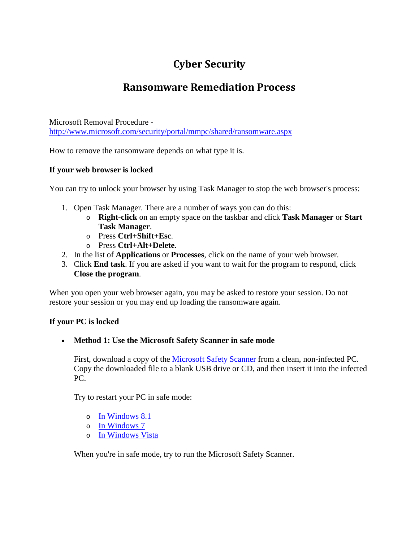# **Cyber Security**

## **Ransomware Remediation Process**

Microsoft Removal Procedure <http://www.microsoft.com/security/portal/mmpc/shared/ransomware.aspx>

How to remove the ransomware depends on what type it is.

### **If your web browser is locked**

You can try to unlock your browser by using Task Manager to stop the web browser's process:

- 1. Open Task Manager. There are a number of ways you can do this:
	- o **Right-click** on an empty space on the taskbar and click **Task Manager** or **Start Task Manager**.
	- o Press **Ctrl+Shift+Esc**.
	- o Press **Ctrl+Alt+Delete**.
- 2. In the list of **Applications** or **Processes**, click on the name of your web browser.
- 3. Click **End task**. If you are asked if you want to wait for the program to respond, click **Close the program**.

When you open your web browser again, you may be asked to restore your session. Do not restore your session or you may end up loading the ransomware again.

#### **If your PC is locked**

#### • **Method 1: Use the Microsoft Safety Scanner in safe mode**

First, download a copy of the [Microsoft Safety Scanner](http://www.microsoft.com/security/portal/mmpc/help/mss.aspx) from a clean, non-infected PC. Copy the downloaded file to a blank USB drive or CD, and then insert it into the infected PC.

Try to restart your PC in safe mode:

- o [In Windows 8.1](http://windows.microsoft.com/en-US/windows-8/windows-startup-settings-including-safe-mode)
- o [In Windows 7](http://windows.microsoft.com/en-US/windows7/Start-your-computer-in-safe-mode)
- o [In Windows Vista](http://windows.microsoft.com/en-US/windows-vista/Start-your-computer-in-safe-mode)

When you're in safe mode, try to run the Microsoft Safety Scanner.